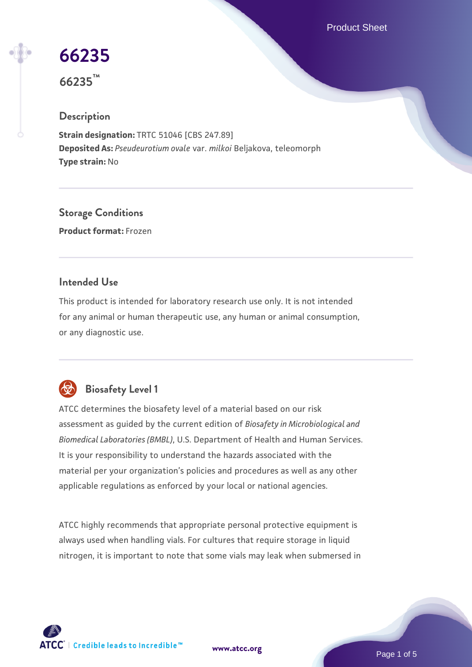Product Sheet

# **[66235](https://www.atcc.org/products/66235)**

**66235™**

## **Description**

**Strain designation:** TRTC 51046 [CBS 247.89] **Deposited As:** *Pseudeurotium ovale* var. *milkoi* Beljakova, teleomorph **Type strain:** No

**Storage Conditions Product format:** Frozen

## **Intended Use**

This product is intended for laboratory research use only. It is not intended for any animal or human therapeutic use, any human or animal consumption, or any diagnostic use.



# **Biosafety Level 1**

ATCC determines the biosafety level of a material based on our risk assessment as guided by the current edition of *Biosafety in Microbiological and Biomedical Laboratories (BMBL)*, U.S. Department of Health and Human Services. It is your responsibility to understand the hazards associated with the material per your organization's policies and procedures as well as any other applicable regulations as enforced by your local or national agencies.

ATCC highly recommends that appropriate personal protective equipment is always used when handling vials. For cultures that require storage in liquid nitrogen, it is important to note that some vials may leak when submersed in

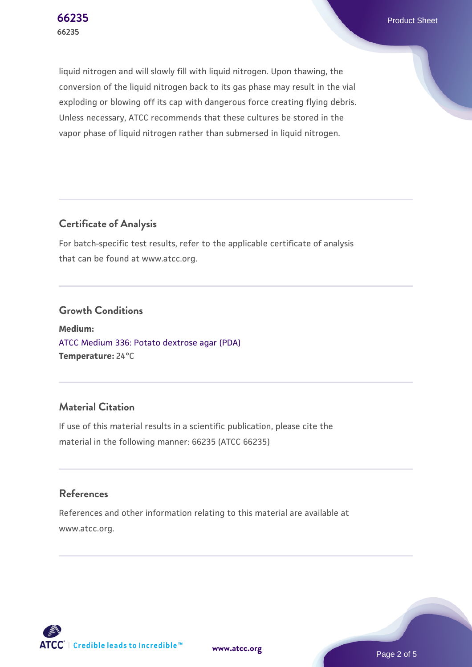**[66235](https://www.atcc.org/products/66235)** Product Sheet

liquid nitrogen and will slowly fill with liquid nitrogen. Upon thawing, the conversion of the liquid nitrogen back to its gas phase may result in the vial exploding or blowing off its cap with dangerous force creating flying debris. Unless necessary, ATCC recommends that these cultures be stored in the vapor phase of liquid nitrogen rather than submersed in liquid nitrogen.

# **Certificate of Analysis**

For batch-specific test results, refer to the applicable certificate of analysis that can be found at www.atcc.org.

#### **Growth Conditions**

**Medium:**  [ATCC Medium 336: Potato dextrose agar \(PDA\)](https://www.atcc.org/-/media/product-assets/documents/microbial-media-formulations/3/3/6/atcc-medium-336.pdf?rev=d9160ad44d934cd8b65175461abbf3b9) **Temperature:** 24°C

# **Material Citation**

If use of this material results in a scientific publication, please cite the material in the following manner: 66235 (ATCC 66235)

#### **References**

References and other information relating to this material are available at www.atcc.org.



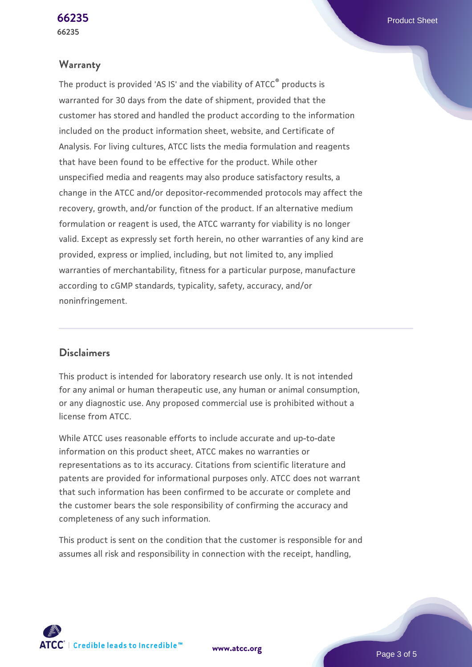#### **Warranty**

The product is provided 'AS IS' and the viability of ATCC® products is warranted for 30 days from the date of shipment, provided that the customer has stored and handled the product according to the information included on the product information sheet, website, and Certificate of Analysis. For living cultures, ATCC lists the media formulation and reagents that have been found to be effective for the product. While other unspecified media and reagents may also produce satisfactory results, a change in the ATCC and/or depositor-recommended protocols may affect the recovery, growth, and/or function of the product. If an alternative medium formulation or reagent is used, the ATCC warranty for viability is no longer valid. Except as expressly set forth herein, no other warranties of any kind are provided, express or implied, including, but not limited to, any implied warranties of merchantability, fitness for a particular purpose, manufacture according to cGMP standards, typicality, safety, accuracy, and/or noninfringement.

#### **Disclaimers**

This product is intended for laboratory research use only. It is not intended for any animal or human therapeutic use, any human or animal consumption, or any diagnostic use. Any proposed commercial use is prohibited without a license from ATCC.

While ATCC uses reasonable efforts to include accurate and up-to-date information on this product sheet, ATCC makes no warranties or representations as to its accuracy. Citations from scientific literature and patents are provided for informational purposes only. ATCC does not warrant that such information has been confirmed to be accurate or complete and the customer bears the sole responsibility of confirming the accuracy and completeness of any such information.

This product is sent on the condition that the customer is responsible for and assumes all risk and responsibility in connection with the receipt, handling,

**[www.atcc.org](http://www.atcc.org)**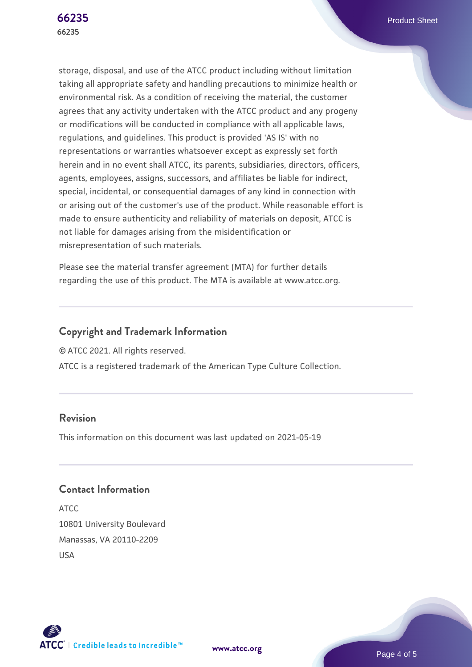storage, disposal, and use of the ATCC product including without limitation taking all appropriate safety and handling precautions to minimize health or environmental risk. As a condition of receiving the material, the customer agrees that any activity undertaken with the ATCC product and any progeny or modifications will be conducted in compliance with all applicable laws, regulations, and guidelines. This product is provided 'AS IS' with no representations or warranties whatsoever except as expressly set forth herein and in no event shall ATCC, its parents, subsidiaries, directors, officers, agents, employees, assigns, successors, and affiliates be liable for indirect, special, incidental, or consequential damages of any kind in connection with or arising out of the customer's use of the product. While reasonable effort is made to ensure authenticity and reliability of materials on deposit, ATCC is not liable for damages arising from the misidentification or misrepresentation of such materials.

Please see the material transfer agreement (MTA) for further details regarding the use of this product. The MTA is available at www.atcc.org.

# **Copyright and Trademark Information**

© ATCC 2021. All rights reserved.

ATCC is a registered trademark of the American Type Culture Collection.

#### **Revision**

This information on this document was last updated on 2021-05-19

**[www.atcc.org](http://www.atcc.org)**

# **Contact Information**

ATCC 10801 University Boulevard Manassas, VA 20110-2209 USA